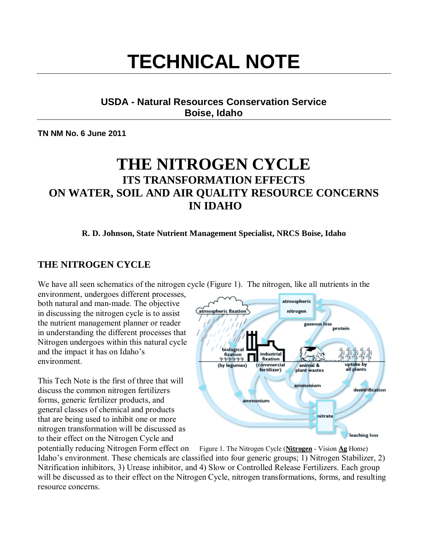# **TECHNICAL NOTE**

#### **USDA - Natural Resources Conservation Service Boise, Idaho**

**TN NM No. 6 June 2011** 

## **THE NITROGEN CYCLE ITS TRANSFORMATION EFFECTS ON WATER, SOIL AND AIR QUALITY RESOURCE CONCERNS IN IDAHO**

**R. D. Johnson, State Nutrient Management Specialist, NRCS Boise, Idaho**

## **THE NITROGEN CYCLE**

We have all seen schematics of the nitrogen cycle (Figure 1). The nitrogen, like all nutrients in the

environment, undergoes different processes, both natural and man-made. The objective in discussing the nitrogen cycle is to assist the nutrient management planner or reader in understanding the different processes that Nitrogen undergoes within this natural cycle and the impact it has on Idaho's environment.

This Tech Note is the first of three that will discuss the common nitrogen fertilizers forms, generic fertilizer products, and general classes of chemical and products that are being used to inhibit one or more nitrogen transformation will be discussed as to their effect on the Nitrogen Cycle and



potentially reducing Nitrogen Form effect on Figure 1. The Nitrogen Cycle (**Nitrogen** - Vision Ag Home) Idaho's environment. These chemicals are classified into four generic groups; 1) Nitrogen Stabilizer, 2) Nitrification inhibitors, 3) Urease inhibitor, and 4) Slow or Controlled Release Fertilizers. Each group will be discussed as to their effect on the Nitrogen Cycle, nitrogen transformations, forms, and resulting resource concerns.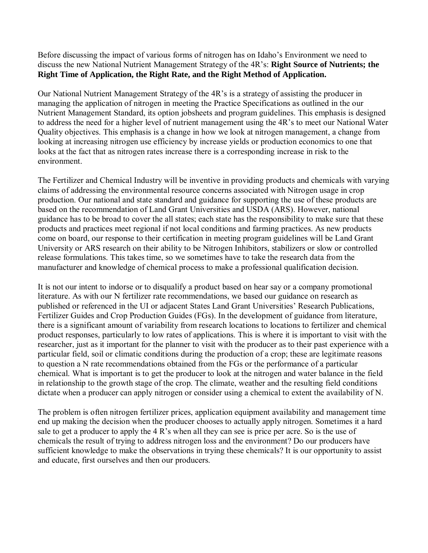Before discussing the impact of various forms of nitrogen has on Idaho's Environment we need to discuss the new National Nutrient Management Strategy of the 4R's: **Right Source of Nutrients; the Right Time of Application, the Right Rate, and the Right Method of Application.**

Our National Nutrient Management Strategy of the 4R's is a strategy of assisting the producer in managing the application of nitrogen in meeting the Practice Specifications as outlined in the our Nutrient Management Standard, its option jobsheets and program guidelines. This emphasis is designed to address the need for a higher level of nutrient management using the 4R's to meet our National Water Quality objectives. This emphasis is a change in how we look at nitrogen management, a change from looking at increasing nitrogen use efficiency by increase yields or production economics to one that looks at the fact that as nitrogen rates increase there is a corresponding increase in risk to the environment.

The Fertilizer and Chemical Industry will be inventive in providing products and chemicals with varying claims of addressing the environmental resource concerns associated with Nitrogen usage in crop production. Our national and state standard and guidance for supporting the use of these products are based on the recommendation of Land Grant Universities and USDA (ARS). However, national guidance has to be broad to cover the all states; each state has the responsibility to make sure that these products and practices meet regional if not local conditions and farming practices. As new products come on board, our response to their certification in meeting program guidelines will be Land Grant University or ARS research on their ability to be Nitrogen Inhibitors, stabilizers or slow or controlled release formulations. This takes time, so we sometimes have to take the research data from the manufacturer and knowledge of chemical process to make a professional qualification decision.

It is not our intent to indorse or to disqualify a product based on hear say or a company promotional literature. As with our N fertilizer rate recommendations, we based our guidance on research as published or referenced in the UI or adjacent States Land Grant Universities' Research Publications, Fertilizer Guides and Crop Production Guides (FGs). In the development of guidance from literature, there is a significant amount of variability from research locations to locations to fertilizer and chemical product responses, particularly to low rates of applications. This is where it is important to visit with the researcher, just as it important for the planner to visit with the producer as to their past experience with a particular field, soil or climatic conditions during the production of a crop; these are legitimate reasons to question a N rate recommendations obtained from the FGs or the performance of a particular chemical. What is important is to get the producer to look at the nitrogen and water balance in the field in relationship to the growth stage of the crop. The climate, weather and the resulting field conditions dictate when a producer can apply nitrogen or consider using a chemical to extent the availability of N.

The problem is often nitrogen fertilizer prices, application equipment availability and management time end up making the decision when the producer chooses to actually apply nitrogen. Sometimes it a hard sale to get a producer to apply the 4 R's when all they can see is price per acre. So is the use of chemicals the result of trying to address nitrogen loss and the environment? Do our producers have sufficient knowledge to make the observations in trying these chemicals? It is our opportunity to assist and educate, first ourselves and then our producers.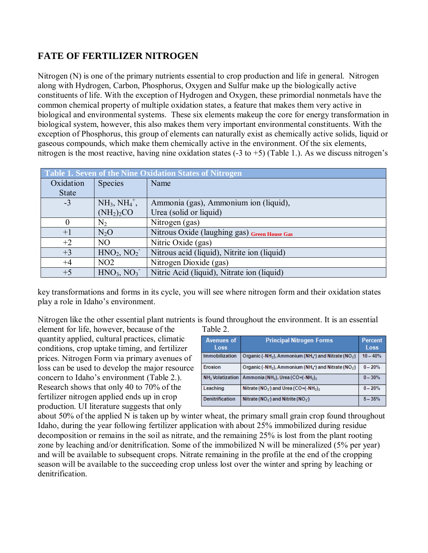#### **FATE OF FERTILIZER NITROGEN**

Nitrogen (N) is one of the primary nutrients essential to crop production and life in general. Nitrogen along with Hydrogen, Carbon, Phosphorus, Oxygen and Sulfur make up the biologically active constituents of life. With the exception of Hydrogen and Oxygen, these primordial nonmetals have the common chemical property of multiple oxidation states, a feature that makes them very active in biological and environmental systems. These six elements makeup the core for energy transformation in biological system, however, this also makes them very important environmental constituents. With the exception of Phosphorus, this group of elements can naturally exist as chemically active solids, liquid or gaseous compounds, which make them chemically active in the environment. Of the six elements, nitrogen is the most reactive, having nine oxidation states  $(-3 \text{ to } +5)$  (Table 1.). As we discuss nitrogen's

| Table 1. Seven of the Nine Oxidation States of Nitrogen |                                    |                                              |  |  |
|---------------------------------------------------------|------------------------------------|----------------------------------------------|--|--|
| Oxidation                                               | <b>Species</b>                     | Name                                         |  |  |
| <b>State</b>                                            |                                    |                                              |  |  |
| $-3$                                                    | $NH_3$ , $NH_4^+$ ,                | Ammonia (gas), Ammonium ion (liquid),        |  |  |
|                                                         | (NH <sub>2</sub> ) <sub>2</sub> CO | Urea (solid or liquid)                       |  |  |
| $\theta$                                                | $N_2$                              | Nitrogen (gas)                               |  |  |
| $+1$                                                    | $N_2O$                             | Nitrous Oxide (laughing gas) Green House Gas |  |  |
| $+2$                                                    | NO.                                | Nitric Oxide (gas)                           |  |  |
| $+3$                                                    | HNO <sub>2</sub> , NO <sub>2</sub> | Nitrous acid (liquid), Nitrite ion (liquid)  |  |  |
| $+4$                                                    | NO2                                | Nitrogen Dioxide (gas)                       |  |  |
| $+5$                                                    | HNO <sub>3</sub> , NO <sub>3</sub> | Nitric Acid (liquid), Nitrate ion (liquid)   |  |  |

key transformations and forms in its cycle, you will see where nitrogen form and their oxidation states play a role in Idaho's environment.

Nitrogen like the other essential plant nutrients is found throughout the environment. It is an essential element for life, however, because of the Table 2.

quantity applied, cultural practices, climatic conditions, crop uptake timing, and fertilizer prices. Nitrogen Form via primary avenues of loss can be used to develop the major resource concern to Idaho's environment (Table 2.). Research shows that only 40 to 70% of the fertilizer nitrogen applied ends up in crop production. UI literature suggests that only

| <b>Avenues of</b><br>Loss          | <b>Principal Nitrogen Forms</b>                                                                                   | <b>Percent</b><br>Loss |
|------------------------------------|-------------------------------------------------------------------------------------------------------------------|------------------------|
| Immobilization                     | Organic (-NH <sub>2</sub> ), Ammonium (NH <sub>4</sub> <sup>+</sup> ) and Nitrate (NO <sub>3</sub> <sup>-</sup> ) | $10 - 40%$             |
| Erosion                            | Organic (-NH <sub>2</sub> ), Ammonium (NH <sub>4</sub> <sup>+</sup> ) and Nitrate (NO <sub>3</sub> <sup>-</sup> ) | $0 - 20%$              |
| <b>NH<sub>2</sub></b> Volatization | Ammonia (NH <sub>3</sub> ), Urea (CO=(-NH <sub>2</sub> ) <sub>2</sub>                                             | $0 - 30%$              |
| Leaching                           | Nitrate ( $NO_3$ ) and Urea ( $CO = (-NH_2)_2$                                                                    | $0 - 20%$              |
| <b>Denitrification</b>             | Nitrate ( $NOa$ ) and Nitrite ( $NOz$ )                                                                           | $5 - 35%$              |

about 50% of the applied N is taken up by winter wheat, the primary small grain crop found throughout Idaho, during the year following fertilizer application with about 25% immobilized during residue decomposition or remains in the soil as nitrate, and the remaining 25% is lost from the plant rooting zone by leaching and/or denitrification. Some of the immobilized N will be mineralized (5% per year) and will be available to subsequent crops. Nitrate remaining in the profile at the end of the cropping season will be available to the succeeding crop unless lost over the winter and spring by leaching or denitrification.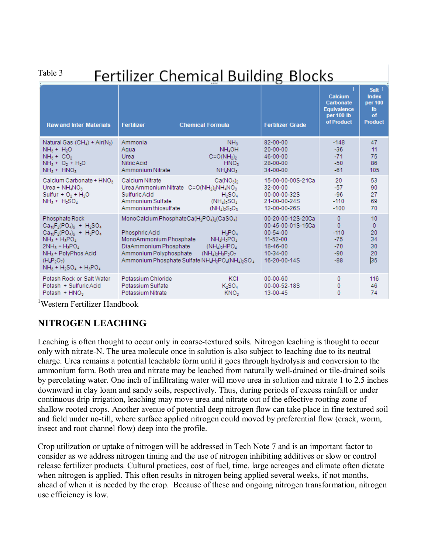Table 3

# **Fertilizer Chemical Building Blocks**

|                                                                                                                                                                                                       |                                                                                                                                                                                                                 | ----                                                                                                                                           | ่                                                                                                                              |                                                                        |                                                                 |
|-------------------------------------------------------------------------------------------------------------------------------------------------------------------------------------------------------|-----------------------------------------------------------------------------------------------------------------------------------------------------------------------------------------------------------------|------------------------------------------------------------------------------------------------------------------------------------------------|--------------------------------------------------------------------------------------------------------------------------------|------------------------------------------------------------------------|-----------------------------------------------------------------|
| <b>Raw and Inter Materials</b>                                                                                                                                                                        | <b>Fertilizer</b>                                                                                                                                                                                               | <b>Chemical Formula</b>                                                                                                                        | <b>Fertilizer Grade</b>                                                                                                        | Calcium<br>Carbonate<br><b>Equivalence</b><br>per 100 lb<br>of Product | Salt 1<br><b>Index</b><br>per 100<br>lb<br>of<br><b>Product</b> |
| Natural Gas $(CH_4)$ + Air(N <sub>2</sub> )<br>$NH3 + H2O$<br>$NH3 + CO2$<br>$NH_3 + O_2 + H_2O$<br>$NH_3 + HNO_3$                                                                                    | Ammonia<br>Agua<br>Urea<br>Nitric Acid<br>Ammonium Nitrate                                                                                                                                                      | NH <sub>3</sub><br>NH <sub>4</sub> OH<br>$C = O(NH_2)$<br>HNO <sub>3</sub><br>NH <sub>4</sub> NO <sub>3</sub>                                  | 82-00-00<br>$20 - 00 - 00$<br>46-00-00<br>28-00-00<br>$34 - 00 - 00$                                                           | $-148$<br>$-36$<br>$-71$<br>$-50$<br>$-61$                             | 47<br>11<br>75<br>86<br>105                                     |
| Calcium Carbonate + HNO <sub>3</sub><br>Urea + $NH_4NO_3$<br>Sulfur + $O2$ + H <sub>2</sub> O<br>$NH_3 + H_2SO_4$                                                                                     | Calcium Nitrate<br>Urea Ammonium Nitrate C=O(NH3)3NH2NO3<br>Sulfuric Acid<br>Ammonium Sulfate<br>Ammonium thiosulfate                                                                                           | Ca(NO <sub>3</sub> ) <sub>2</sub><br>$H_2SO_4$<br>$(NH_4)$ <sub>2</sub> SO <sub>4</sub><br>$(NH_4)$ <sub>2</sub> S <sub>2</sub> O <sub>3</sub> | 15-00-00-00S-21Ca<br>$32 - 00 - 00$<br>00-00-00-32S<br>21-00-00-24S<br>12-00-00-26S                                            | 20<br>$-57$<br>$-96$<br>$-110$<br>$-100$                               | 53<br>90<br>27<br>69<br>70                                      |
| Phosphate Rock<br>$Ca_{10}F_2(PO_4)_6 + H_2SO_4$<br>$Ca10F2(PO4)6 + H3PO4$<br>$NH_3 + H_3PO_4$<br>$2NH_3 + H_3PO_4$<br>NH <sub>3</sub> + PolyPhos Acid<br>$(H_4P_2O_7)$<br>$NH_3 + H_2SO_4 + H_3PO_4$ | MonoCalcium PhosphateCa(H <sub>2</sub> PO4) <sub>2</sub> (CaSO4)<br>Phosphric Acid<br>MonoAmmonium Phosphate<br>DiaAmmonium Phosphate<br>Ammonium Polyphosphate<br>Ammonium Phosphate Sulfate NH4H2PO4(NH4)2SO4 | H <sub>3</sub> PO <sub>A</sub><br>$NH_4H_2PO_4$<br>$(NH_4)$ <sub>2</sub> HPO <sub>4</sub><br>$(NH_4)$ <sub>2</sub> $H_3P_2O_7$                 | 00-20-00-12S-20Ca<br>00-45-00-01S-15Ca<br>$00 - 54 - 00$<br>$11 - 52 - 00$<br>$18 - 46 - 00$<br>$10 - 34 - 00$<br>16-20-00-14S | $\Omega$<br>$\mathbf{0}$<br>$-110$<br>$-75$<br>$-70$<br>$-90$<br>$-88$ | 10<br>$\mathbf{0}$<br>20<br>34<br>30<br>20<br>35                |
| Potash Rock or Salt Water<br>Potash + Sulfuric Acid<br>Potash $+$ HNO <sub>3</sub>                                                                                                                    | Potassium Chloride<br>Potassium Sulfate<br>Potassium Nitrate                                                                                                                                                    | KCI<br>$K_2SO_4$<br>KNO <sub>3</sub>                                                                                                           | $00 - 00 - 60$<br>00-00-52-18S<br>13-00-45                                                                                     | $\mathbf{0}$<br>0<br>$\mathbf{0}$                                      | 116<br>46<br>74                                                 |

1 Western Fertilizer Handbook

#### **NITROGEN LEACHING**

Leaching is often thought to occur only in coarse-textured soils. Nitrogen leaching is thought to occur only with nitrate-N. The urea molecule once in solution is also subject to leaching due to its neutral charge. Urea remains a potential leachable form until it goes through hydrolysis and conversion to the ammonium form. Both urea and nitrate may be leached from naturally well-drained or tile-drained soils by percolating water. One inch of infiltrating water will move urea in solution and nitrate 1 to 2.5 inches downward in clay loam and sandy soils, respectively. Thus, during periods of excess rainfall or under continuous drip irrigation, leaching may move urea and nitrate out of the effective rooting zone of shallow rooted crops. Another avenue of potential deep nitrogen flow can take place in fine textured soil and field under no-till, where surface applied nitrogen could moved by preferential flow (crack, worm, insect and root channel flow) deep into the profile.

Crop utilization or uptake of nitrogen will be addressed in Tech Note 7 and is an important factor to consider as we address nitrogen timing and the use of nitrogen inhibiting additives or slow or control release fertilizer products. Cultural practices, cost of fuel, time, large acreages and climate often dictate when nitrogen is applied. This often results in nitrogen being applied several weeks, if not months, ahead of when it is needed by the crop. Because of these and ongoing nitrogen transformation, nitrogen use efficiency is low.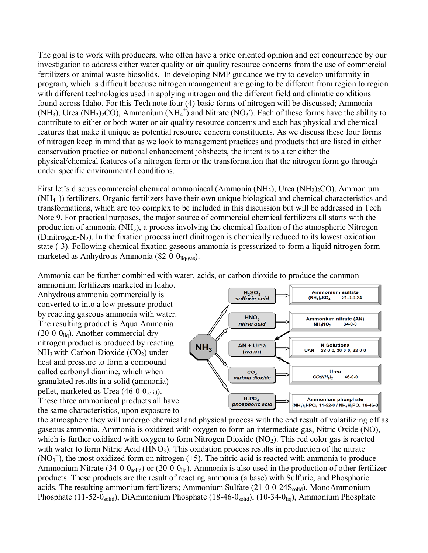The goal is to work with producers, who often have a price oriented opinion and get concurrence by our investigation to address either water quality or air quality resource concerns from the use of commercial fertilizers or animal waste biosolids. In developing NMP guidance we try to develop uniformity in program, which is difficult because nitrogen management are going to be different from region to region with different technologies used in applying nitrogen and the different field and climatic conditions found across Idaho. For this Tech note four (4) basic forms of nitrogen will be discussed; Ammonia  $(NH_3)$ , Urea  $(NH_2)_2CO$ ), Ammonium  $(NH_4^+)$  and Nitrate  $(NO_3)$ . Each of these forms have the ability to contribute to either or both water or air quality resource concerns and each has physical and chemical features that make it unique as potential resource concern constituents. As we discuss these four forms of nitrogen keep in mind that as we look to management practices and products that are listed in either conservation practice or national enhancement jobsheets, the intent is to alter either the physical/chemical features of a nitrogen form or the transformation that the nitrogen form go through under specific environmental conditions.

First let's discuss commercial chemical ammoniacal (Ammonia (NH<sub>3</sub>), Urea (NH<sub>2</sub>)<sub>2</sub>CO), Ammonium (NH<sub>4</sub><sup>+</sup>)) fertilizers. Organic fertilizers have their own unique biological and chemical characteristics and transformations, which are too complex to be included in this discussion but will be addressed in Tech Note 9. For practical purposes, the major source of commercial chemical fertilizers all starts with the production of ammonia (NH3), a process involving the chemical fixation of the atmospheric Nitrogen (Dinitrogen-N<sub>2</sub>). In the fixation process inert dinitrogen is chemically reduced to its lowest oxidation state (-3). Following chemical fixation gaseous ammonia is pressurized to form a liquid nitrogen form marketed as Anhydrous Ammonia (82-0-0<sub>liq/gas</sub>).

Ammonia can be further combined with water, acids, or carbon dioxide to produce the common

ammonium fertilizers marketed in Idaho. Anhydrous ammonia commercially is converted to into a low pressure product by reacting gaseous ammonia with water. The resulting product is Aqua Ammonia  $(20-0-0)$ <sub>liq</sub>). Another commercial dry nitrogen product is produced by reacting  $NH<sub>3</sub>$  with Carbon Dioxide (CO<sub>2</sub>) under heat and pressure to form a compound called carbonyl diamine, which when granulated results in a solid (ammonia) pellet, marketed as Urea  $(46-0-0<sub>solid</sub>)$ . These three ammoniacal products all have the same characteristics, upon exposure to



the atmosphere they will undergo chemical and physical process with the end result of volatilizing off as gaseous ammonia. Ammonia is oxidized with oxygen to form an intermediate gas, Nitric Oxide (NO), which is further oxidized with oxygen to form Nitrogen Dioxide  $(NO<sub>2</sub>)$ . This red color gas is reacted with water to form Nitric Acid (HNO<sub>3</sub>). This oxidation process results in production of the nitrate  $(NO<sub>3</sub><sup>+</sup>)$ , the most oxidized form on nitrogen (+5). The nitric acid is reacted with ammonia to produce Ammonium Nitrate (34-0-0 $_{\rm solid}$ ) or (20-0-0 $_{\rm liq}$ ). Ammonia is also used in the production of other fertilizer products. These products are the result of reacting ammonia (a base) with Sulfuric, and Phosphoric acids. The resulting ammonium fertilizers; Ammonium Sulfate  $(21-0-0-24S_{solid})$ , MonoAmmonium Phosphate (11-52-0<sub>solid</sub>), DiAmmonium Phosphate (18-46-0<sub>solid</sub>), (10-34-0<sub>liq</sub>), Ammonium Phosphate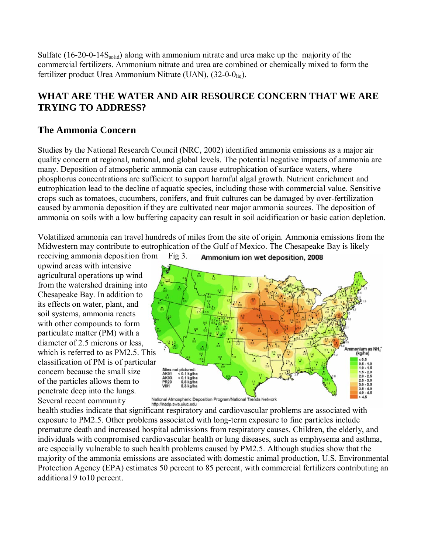Sulfate  $(16-20-0-14S_{solid})$  along with ammonium nitrate and urea make up the majority of the commercial fertilizers. Ammonium nitrate and urea are combined or chemically mixed to form the fertilizer product Urea Ammonium Nitrate (UAN),  $(32-0-0)$ <sub>liq</sub>).

#### **WHAT ARE THE WATER AND AIR RESOURCE CONCERN THAT WE ARE TRYING TO ADDRESS?**

#### **The Ammonia Concern**

Studies by the National Research Council (NRC, 2002) identified ammonia emissions as a major air quality concern at regional, national, and global levels. The potential negative impacts of ammonia are many. Deposition of atmospheric ammonia can cause eutrophication of surface waters, where phosphorus concentrations are sufficient to support harmful algal growth. Nutrient enrichment and eutrophication lead to the decline of aquatic species, including those with commercial value. Sensitive crops such as tomatoes, cucumbers, conifers, and fruit cultures can be damaged by over-fertilization caused by ammonia deposition if they are cultivated near major ammonia sources. The deposition of ammonia on soils with a low buffering capacity can result in soil acidification or basic cation depletion.

Volatilized ammonia can travel hundreds of miles from the site of origin. Ammonia emissions from the Midwestern may contribute to eutrophication of the Gulf of Mexico. The Chesapeake Bay is likely

receiving ammonia deposition from Fig 3. upwind areas with intensive agricultural operations up wind from the watershed draining into Chesapeake Bay. In addition to its effects on water, plant, and soil systems, ammonia reacts with other compounds to form particulate matter (PM) with a diameter of 2.5 microns or less, which is referred to as PM2.5. This classification of PM is of particular concern because the small size of the particles allows them to penetrate deep into the lungs. Several recent community



National Atmospheric Deposition Program/National Trends Network http://nadp.sws.uiuc.edu

health studies indicate that significant respiratory and cardiovascular problems are associated with exposure to PM2.5. Other problems associated with long-term exposure to fine particles include premature death and increased hospital admissions from respiratory causes. Children, the elderly, and individuals with compromised cardiovascular health or lung diseases, such as emphysema and asthma, are especially vulnerable to such health problems caused by PM2.5. Although studies show that the majority of the ammonia emissions are associated with domestic animal production, U.S. Environmental Protection Agency (EPA) estimates 50 percent to 85 percent, with commercial fertilizers contributing an additional 9 to10 percent.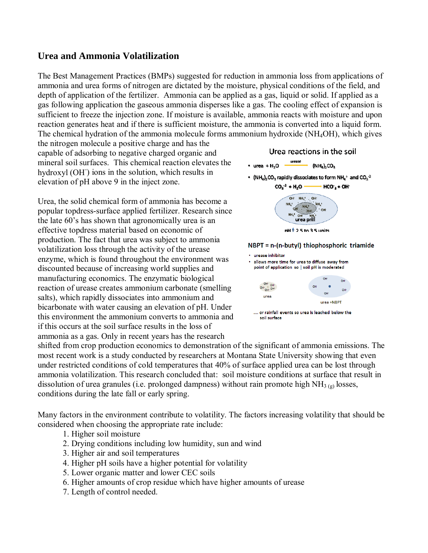#### **Urea and Ammonia Volatilization**

The Best Management Practices (BMPs) suggested for reduction in ammonia loss from applications of ammonia and urea forms of nitrogen are dictated by the moisture, physical conditions of the field, and depth of application of the fertilizer. Ammonia can be applied as a gas, liquid or solid. If applied as a gas following application the gaseous ammonia disperses like a gas. The cooling effect of expansion is sufficient to freeze the injection zone. If moisture is available, ammonia reacts with moisture and upon reaction generates heat and if there is sufficient moisture, the ammonia is converted into a liquid form. The chemical hydration of the ammonia molecule forms ammonium hydroxide (NH4OH), which gives

the nitrogen molecule a positive charge and has the capable of adsorbing to negative charged organic and mineral soil surfaces. This chemical reaction elevates the hydroxyl (OH) ions in the solution, which results in elevation of pH above 9 in the inject zone.

Urea, the solid chemical form of ammonia has become a popular topdress-surface applied fertilizer. Research since the late 60's has shown that agronomically urea is an effective topdress material based on economic of production. The fact that urea was subject to ammonia volatilization loss through the activity of the urease enzyme, which is found throughout the environment was discounted because of increasing world supplies and manufacturing economics. The enzymatic biological reaction of urease creates ammonium carbonate (smelling salts), which rapidly dissociates into ammonium and bicarbonate with water causing an elevation of pH. Under this environment the ammonium converts to ammonia and if this occurs at the soil surface results in the loss of ammonia as a gas. Only in recent years has the research





shifted from crop production economics to demonstration of the significant of ammonia emissions. The most recent work is a study conducted by researchers at Montana State University showing that even under restricted conditions of cold temperatures that 40% of surface applied urea can be lost through ammonia volatilization. This research concluded that: soil moisture conditions at surface that result in dissolution of urea granules (i.e. prolonged dampness) without rain promote high  $NH<sub>3 (g)</sub>$  losses, conditions during the late fall or early spring.

Many factors in the environment contribute to volatility. The factors increasing volatility that should be considered when choosing the appropriate rate include:

- 1. Higher soil moisture
- 2. Drying conditions including low humidity, sun and wind
- 3. Higher air and soil temperatures
- 4. Higher pH soils have a higher potential for volatility
- 5. Lower organic matter and lower CEC soils
- 6. Higher amounts of crop residue which have higher amounts of urease
- 7. Length of control needed.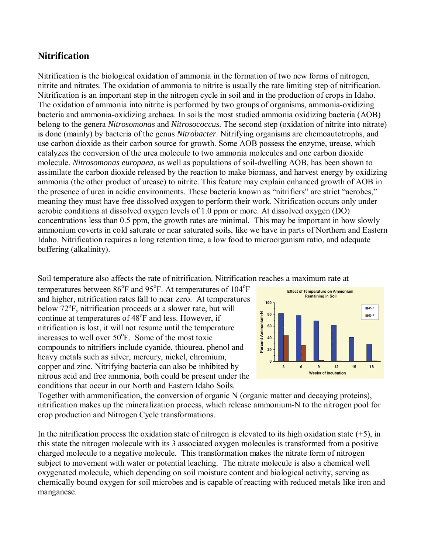#### **Nitrification**

Nitrification is the biological oxidation of ammonia in the formation of two new forms of nitrogen, nitrite and nitrates. The oxidation of ammonia to nitrite is usually the rate limiting step of nitrification. Nitrification is an important step in the nitrogen cycle in soil and in the production of crops in Idaho. The oxidation of ammonia into nitrite is performed by two groups of organisms, ammonia-oxidizing bacteria and ammonia-oxidizing archaea. In soils the most studied ammonia oxidizing bacteria (AOB) belong to the genera *Nitrosomonas* and *Nitrosococcus*. The second step (oxidation of nitrite into nitrate) is done (mainly) by bacteria of the genus *Nitrobacter*. Nitrifying organisms are chemoautotrophs, and use carbon dioxide as their carbon source for growth. Some AOB possess the enzyme, urease, which catalyzes the conversion of the urea molecule to two ammonia molecules and one carbon dioxide molecule. *Nitrosomonas europaea*, as well as populations of soil-dwelling AOB, has been shown to assimilate the carbon dioxide released by the reaction to make biomass, and harvest energy by oxidizing ammonia (the other product of urease) to nitrite. This feature may explain enhanced growth of AOB in the presence of urea in acidic environments. These bacteria known as "nitrifiers" are strict "aerobes," meaning they must have free dissolved oxygen to perform their work. Nitrification occurs only under aerobic conditions at dissolved oxygen levels of 1.0 ppm or more. At dissolved oxygen (DO) concentrations less than 0.5 ppm, the growth rates are minimal. This may be important in how slowly ammonium coverts in cold saturate or near saturated soils, like we have in parts of Northern and Eastern Idaho. Nitrification requires a long retention time, a low food to microorganism ratio, and adequate buffering (alkalinity).

Soil temperature also affects the rate of nitrification. Nitrification reaches a maximum rate at

temperatures between  $86^{\circ}$ F and  $95^{\circ}$ F. At temperatures of  $104^{\circ}$ F and higher, nitrification rates fall to near zero. At temperatures below 72<sup>o</sup>F, nitrification proceeds at a slower rate, but will continue at temperatures of 48°F and less. However, if nitrification is lost, it will not resume until the temperature increases to well over  $50^{\circ}$ F. Some of the most toxic compounds to nitrifiers include cyanide, thiourea, phenol and heavy metals such as silver, mercury, nickel, chromium, copper and zinc. Nitrifying bacteria can also be inhibited by nitrous acid and free ammonia, both could be present under the conditions that occur in our North and Eastern Idaho Soils.



Together with ammonification, the conversion of organic N (organic matter and decaying proteins), nitrification makes up the mineralization process, which release ammonium-N to the nitrogen pool for crop production and Nitrogen Cycle transformations.

In the nitrification process the oxidation state of nitrogen is elevated to its high oxidation state  $(+5)$ , in this state the nitrogen molecule with its 3 associated oxygen molecules is transformed from a positive charged molecule to a negative molecule. This transformation makes the nitrate form of nitrogen subject to movement with water or potential leaching. The nitrate molecule is also a chemical well oxygenated molecule, which depending on soil moisture content and biological activity, serving as chemically bound oxygen for soil microbes and is capable of reacting with reduced metals like iron and manganese.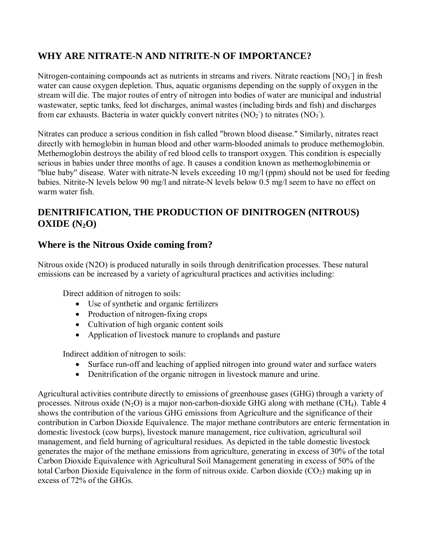### **WHY ARE NITRATE-N AND NITRITE-N OF IMPORTANCE?**

Nitrogen-containing compounds act as nutrients in streams and rivers. Nitrate reactions  $[NO<sub>3</sub>]]$  in fresh water can cause oxygen depletion. Thus, aquatic organisms depending on the supply of oxygen in the stream will die. The major routes of entry of nitrogen into bodies of water are municipal and industrial wastewater, septic tanks, feed lot discharges, animal wastes (including birds and fish) and discharges from car exhausts. Bacteria in water quickly convert nitrites  $(NO<sub>2</sub>)$  to nitrates  $(NO<sub>3</sub>)$ .

Nitrates can produce a serious condition in fish called "brown blood disease." Similarly, nitrates react directly with hemoglobin in human blood and other warm-blooded animals to produce methemoglobin. Methemoglobin destroys the ability of red blood cells to transport oxygen. This condition is especially serious in babies under three months of age. It causes a condition known as methemoglobinemia or "blue baby" disease. Water with nitrate-N levels exceeding 10 mg/l (ppm) should not be used for feeding babies. Nitrite-N levels below 90 mg/l and nitrate-N levels below 0.5 mg/l seem to have no effect on warm water fish.

#### **DENITRIFICATION, THE PRODUCTION OF DINITROGEN (NITROUS)**   $OXIDE(N<sub>2</sub>O)$

#### **Where is the Nitrous Oxide coming from?**

Nitrous oxide (N2O) is produced naturally in soils through denitrification processes. These natural emissions can be increased by a variety of agricultural practices and activities including:

Direct addition of nitrogen to soils:

- Use of synthetic and organic fertilizers
- Production of nitrogen-fixing crops
- Cultivation of high organic content soils
- Application of livestock manure to croplands and pasture

Indirect addition of nitrogen to soils:

- Surface run-off and leaching of applied nitrogen into ground water and surface waters
- Denitrification of the organic nitrogen in livestock manure and urine.

Agricultural activities contribute directly to emissions of greenhouse gases (GHG) through a variety of processes. Nitrous oxide  $(N_2O)$  is a major non-carbon-dioxide GHG along with methane (CH<sub>4</sub>). Table 4 shows the contribution of the various GHG emissions from Agriculture and the significance of their contribution in Carbon Dioxide Equivalence. The major methane contributors are enteric fermentation in domestic livestock (cow burps), livestock manure management, rice cultivation, agricultural soil management, and field burning of agricultural residues. As depicted in the table domestic livestock generates the major of the methane emissions from agriculture, generating in excess of 30% of the total Carbon Dioxide Equivalence with Agricultural Soil Management generating in excess of 50% of the total Carbon Dioxide Equivalence in the form of nitrous oxide. Carbon dioxide  $(CO<sub>2</sub>)$  making up in excess of 72% of the GHGs.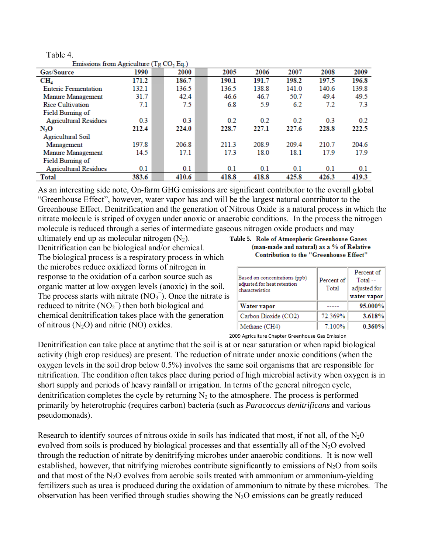| Table 4.                                            |       |       |     |       |       |       |       |       |
|-----------------------------------------------------|-------|-------|-----|-------|-------|-------|-------|-------|
| Emissions from Agriculture (Tg CO <sub>2</sub> Eq.) |       |       |     |       |       |       |       |       |
| <b>Gas/Source</b>                                   | 1990  | 2000  |     | 2005  | 2006  | 2007  | 2008  | 2009  |
| $CH_4$                                              | 171.2 | 186.7 |     | 190.1 | 191.7 | 198.2 | 197.5 | 196.8 |
| <b>Enteric Fermentation</b>                         | 132.1 | 136.5 |     | 136.5 | 138.8 | 141.0 | 140.6 | 139.8 |
| Manure Management                                   | 31.7  | 42.4  |     | 46.6  | 46.7  | 50.7  | 49.4  | 49.5  |
| <b>Rice Cultivation</b>                             | 7.1   |       | 7.5 | 6.8   | 5.9   | 6.2   | 7.2   | 73    |
| Field Burning of                                    |       |       |     |       |       |       |       |       |
| <b>Agricultural Residues</b>                        | 0.3   |       | 0.3 | 0.2   | 0.2   | 0.2   | 0.3   | 0.2   |
| N <sub>2</sub> O                                    | 212.4 | 224.0 |     | 228.7 | 227.1 | 227.6 | 228.8 | 222.5 |
| Agricultural Soil                                   |       |       |     |       |       |       |       |       |
| Management                                          | 197.8 | 206.8 |     | 211.3 | 208.9 | 209.4 | 210.7 | 204.6 |
| Manure Management                                   | 14.5  | 17.1  |     | 17.3  | 18.0  | 18.1  | 17.9  | 179   |
| Field Burning of                                    |       |       |     |       |       |       |       |       |
| <b>Agricultural Residues</b>                        | 0.1   |       | 0.1 | 0.1   | 0.1   | 0.1   | 0.1   | 0.1   |
| <b>Total</b>                                        | 383.6 | 410.6 |     | 418.8 | 418.8 | 425.8 | 426.3 | 419.3 |

As an interesting side note, On-farm GHG emissions are significant contributor to the overall global "Greenhouse Effect", however, water vapor has and will be the largest natural contributor to the Greenhouse Effect. Denitrification and the generation of Nitrous Oxide is a natural process in which the nitrate molecule is striped of oxygen under anoxic or anaerobic conditions. In the process the nitrogen molecule is reduced through a series of intermediate gaseous nitrogen oxide products and may

ultimately end up as molecular nitrogen  $(N_2)$ . Table 5. Role of Atmospheric Greenhouse Gases Denitrification can be biological and/or chemical. The biological process is a respiratory process in which the microbes reduce oxidized forms of nitrogen in response to the oxidation of a carbon source such as organic matter at low oxygen levels (anoxic) in the soil. The process starts with nitrate  $(NO<sub>3</sub>^-)$ . Once the nitrate is reduced to nitrite  $(NO<sub>2</sub><sup>-</sup>)$  then both biological and chemical denitrification takes place with the generation of nitrous  $(N_2O)$  and nitric  $(NO)$  oxides.

#### (man-made and natural) as a % of Relative **Contribution to the "Greenhouse Effect"**

| Based on concentrations (ppb)<br>adjusted for heat retention<br>characteristics | Percent of<br>Total | Percent of<br>Total --<br>adjusted for<br>water vapor |  |
|---------------------------------------------------------------------------------|---------------------|-------------------------------------------------------|--|
| Water vapor                                                                     |                     | 95.000%                                               |  |
| Carbon Dioxide (CO2)                                                            | 72.369%             | 3.618%                                                |  |
| Methane (CH4)                                                                   | 7.100%              | 0.360%                                                |  |

2009 Agriculture Chapter Greenhouse Gas Emission

Denitrification can take place at anytime that the soil is at or near saturation or when rapid biological activity (high crop residues) are present. The reduction of nitrate under anoxic conditions (when the oxygen levels in the soil drop below 0.5%) involves the same soil organisms that are responsible for nitrification. The condition often takes place during period of high microbial activity when oxygen is in short supply and periods of heavy rainfall or irrigation. In terms of the general nitrogen cycle, denitrification completes the cycle by returning  $N_2$  to the atmosphere. The process is performed primarily by heterotrophic (requires carbon) bacteria (such as *Paracoccus denitrificans* and various pseudomonads).

Research to identify sources of nitrous oxide in soils has indicated that most, if not all, of the  $N_20$ evolved from soils is produced by biological processes and that essentially all of the  $N_2O$  evolved through the reduction of nitrate by denitrifying microbes under anaerobic conditions. It is now well established, however, that nitrifying microbes contribute significantly to emissions of  $N<sub>2</sub>O$  from soils and that most of the  $N_2O$  evolves from aerobic soils treated with ammonium or ammonium-yielding fertilizers such as urea is produced during the oxidation of ammonium to nitrate by these microbes. The observation has been verified through studies showing the  $N_2O$  emissions can be greatly reduced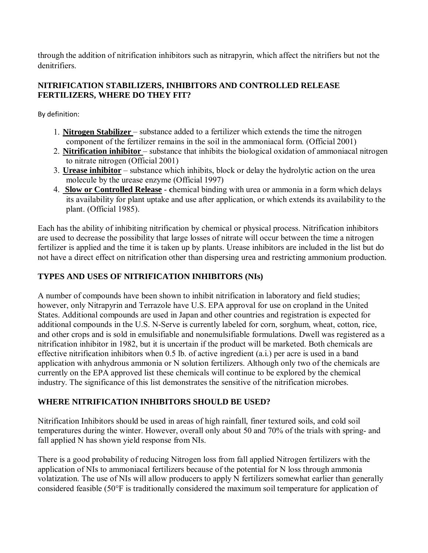through the addition of nitrification inhibitors such as nitrapyrin, which affect the nitrifiers but not the denitrifiers.

#### **NITRIFICATION STABILIZERS, INHIBITORS AND CONTROLLED RELEASE FERTILIZERS, WHERE DO THEY FIT?**

By definition:

- 1. **Nitrogen Stabilizer**  substance added to a fertilizer which extends the time the nitrogen component of the fertilizer remains in the soil in the ammoniacal form. (Official 2001)
- 2. **Nitrification inhibitor**  substance that inhibits the biological oxidation of ammoniacal nitrogen to nitrate nitrogen (Official 2001)
- 3. **Urease inhibitor** substance which inhibits, block or delay the hydrolytic action on the urea molecule by the urease enzyme (Official 1997)
- 4. **Slow or Controlled Release** - **c**hemical binding with urea or ammonia in a form which delays its availability for plant uptake and use after application, or which extends its availability to the plant. (Official 1985).

Each has the ability of inhibiting nitrification by chemical or physical process. Nitrification inhibitors are used to decrease the possibility that large losses of nitrate will occur between the time a nitrogen fertilizer is applied and the time it is taken up by plants. Urease inhibitors are included in the list but do not have a direct effect on nitrification other than dispersing urea and restricting ammonium production.

#### **TYPES AND USES OF NITRIFICATION INHIBITORS (NIs)**

A number of compounds have been shown to inhibit nitrification in laboratory and field studies; however, only Nitrapyrin and Terrazole have U.S. EPA approval for use on cropland in the United States. Additional compounds are used in Japan and other countries and registration is expected for additional compounds in the U.S. N-Serve is currently labeled for corn, sorghum, wheat, cotton, rice, and other crops and is sold in emulsifiable and nonemulsifiable formulations. Dwell was registered as a nitrification inhibitor in 1982, but it is uncertain if the product will be marketed. Both chemicals are effective nitrification inhibitors when 0.5 lb. of active ingredient (a.i.) per acre is used in a band application with anhydrous ammonia or N solution fertilizers. Although only two of the chemicals are currently on the EPA approved list these chemicals will continue to be explored by the chemical industry. The significance of this list demonstrates the sensitive of the nitrification microbes.

#### **WHERE NITRIFICATION INHIBITORS SHOULD BE USED?**

Nitrification Inhibitors should be used in areas of high rainfall, finer textured soils, and cold soil temperatures during the winter. However, overall only about 50 and 70% of the trials with spring- and fall applied N has shown yield response from NIs.

There is a good probability of reducing Nitrogen loss from fall applied Nitrogen fertilizers with the application of NIs to ammoniacal fertilizers because of the potential for N loss through ammonia volatization. The use of NIs will allow producers to apply N fertilizers somewhat earlier than generally considered feasible (50°F is traditionally considered the maximum soil temperature for application of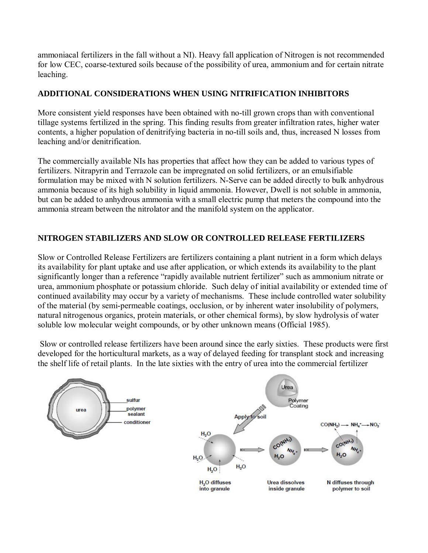ammoniacal fertilizers in the fall without a NI). Heavy fall application of Nitrogen is not recommended for low CEC, coarse-textured soils because of the possibility of urea, ammonium and for certain nitrate leaching.

#### **ADDITIONAL CONSIDERATIONS WHEN USING NITRIFICATION INHIBITORS**

More consistent yield responses have been obtained with no-till grown crops than with conventional tillage systems fertilized in the spring. This finding results from greater infiltration rates, higher water contents, a higher population of denitrifying bacteria in no-till soils and, thus, increased N losses from leaching and/or denitrification.

The commercially available NIs has properties that affect how they can be added to various types of fertilizers. Nitrapyrin and Terrazole can be impregnated on solid fertilizers, or an emulsifiable formulation may be mixed with N solution fertilizers. N-Serve can be added directly to bulk anhydrous ammonia because of its high solubility in liquid ammonia. However, Dwell is not soluble in ammonia, but can be added to anhydrous ammonia with a small electric pump that meters the compound into the ammonia stream between the nitrolator and the manifold system on the applicator.

#### **NITROGEN STABILIZERS AND SLOW OR CONTROLLED RELEASE FERTILIZERS**

Slow or Controlled Release Fertilizers are fertilizers containing a plant nutrient in a form which delays its availability for plant uptake and use after application, or which extends its availability to the plant significantly longer than a reference "rapidly available nutrient fertilizer" such as ammonium nitrate or urea, ammonium phosphate or potassium chloride. Such delay of initial availability or extended time of continued availability may occur by a variety of mechanisms. These include controlled water solubility of the material (by semi-permeable coatings, occlusion, or by inherent water insolubility of polymers, natural nitrogenous organics, protein materials, or other chemical forms), by slow hydrolysis of water soluble low molecular weight compounds, or by other unknown means (Official 1985).

 Slow or controlled release fertilizers have been around since the early sixties. These products were first developed for the horticultural markets, as a way of delayed feeding for transplant stock and increasing the shelf life of retail plants. In the late sixties with the entry of urea into the commercial fertilizer

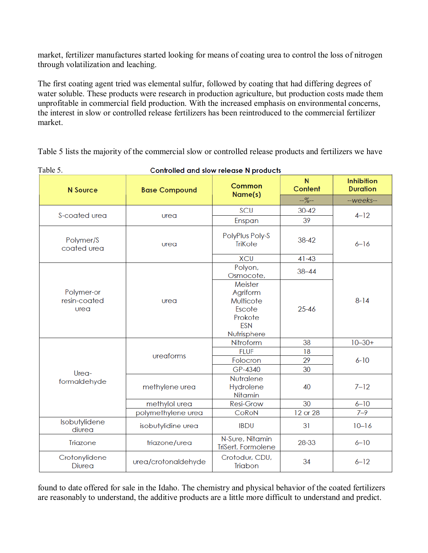market, fertilizer manufactures started looking for means of coating urea to control the loss of nitrogen through volatilization and leaching.

The first coating agent tried was elemental sulfur, followed by coating that had differing degrees of water soluble. These products were research in production agriculture, but production costs made them unprofitable in commercial field production. With the increased emphasis on environmental concerns, the interest in slow or controlled release fertilizers has been reintroduced to the commercial fertilizer market.

Table 5 lists the majority of the commercial slow or controlled release products and fertilizers we have

| raoic J.                           | complete and slow release in products |                                                                                    |                           |                                      |  |
|------------------------------------|---------------------------------------|------------------------------------------------------------------------------------|---------------------------|--------------------------------------|--|
| <b>N</b> Source                    | <b>Base Compound</b>                  | Common<br>Name(s)                                                                  | N <sub>1</sub><br>Content | <b>Inhibition</b><br><b>Duration</b> |  |
|                                    |                                       |                                                                                    | $-$ %--                   | --weeks--                            |  |
|                                    |                                       | SCU                                                                                | $30 - 42$                 | $4 - 12$                             |  |
| S-coated urea                      | urea                                  | Enspan                                                                             | 39                        |                                      |  |
| Polymer/S<br>coated urea           | urea                                  | PolyPlus Poly-S<br><b>TriKote</b>                                                  | $38 - 42$                 | $6 - 16$                             |  |
|                                    |                                       | <b>XCU</b>                                                                         | $41 - 43$                 |                                      |  |
|                                    |                                       | Polyon,<br>Osmocote,                                                               | $38 - 44$                 |                                      |  |
| Polymer-or<br>resin-coated<br>urea | urea                                  | Meister<br>Agriform<br>Multicote<br>Escote<br>Prokote<br><b>ESN</b><br>Nutrisphere | $25 - 46$                 | $8 - 14$                             |  |
|                                    |                                       | Nitroform                                                                          | 38                        | $10 - 30 +$                          |  |
|                                    | ureaforms                             | <b>FLUF</b>                                                                        | 18                        |                                      |  |
|                                    |                                       | Folocron                                                                           | 29                        | $6 - 10$                             |  |
| Urea-                              |                                       | GP-4340                                                                            | 30                        |                                      |  |
| formaldehyde                       | methylene urea                        | Nutralene<br>Hydrolene<br>Nitamin                                                  | 40                        | $7 - 12$                             |  |
|                                    | methylol urea                         | <b>Resi-Grow</b>                                                                   | 30                        | $6 - 10$                             |  |
|                                    | polymethylene urea                    | CoRoN                                                                              | 12 or 28                  | $7 - 9$                              |  |
| Isobutylidene<br>diurea            | isobutylidine urea                    | <b>IBDU</b>                                                                        | 31                        | $10 - 16$                            |  |
| Triazone                           | triazone/urea                         | N-Sure, Nitamin<br>TriSert, Formolene                                              | 28-33                     | $6 - 10$                             |  |
| Crotonylidene<br>Diurea            | urea/crotonaldehyde                   | Crotodur, CDU,<br>Triabon                                                          | 34                        | $6 - 12$                             |  |

Controlled and slow release N products

Table 5.

found to date offered for sale in the Idaho. The chemistry and physical behavior of the coated fertilizers are reasonably to understand, the additive products are a little more difficult to understand and predict.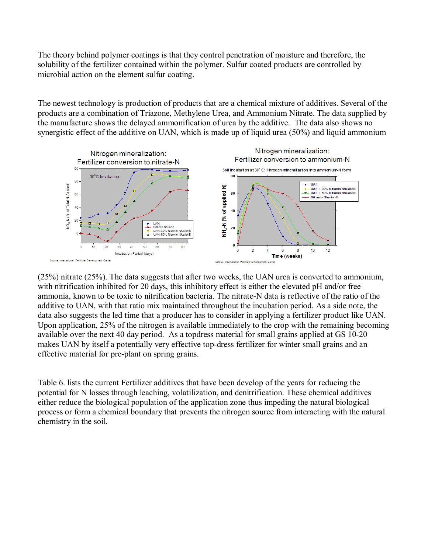The theory behind polymer coatings is that they control penetration of moisture and therefore, the solubility of the fertilizer contained within the polymer. Sulfur coated products are controlled by microbial action on the element sulfur coating.

The newest technology is production of products that are a chemical mixture of additives. Several of the products are a combination of Triazone, Methylene Urea, and Ammonium Nitrate. The data supplied by the manufacture shows the delayed ammonification of urea by the additive. The data also shows no synergistic effect of the additive on UAN, which is made up of liquid urea (50%) and liquid ammonium



(25%) nitrate (25%). The data suggests that after two weeks, the UAN urea is converted to ammonium, with nitrification inhibited for 20 days, this inhibitory effect is either the elevated pH and/or free ammonia, known to be toxic to nitrification bacteria. The nitrate-N data is reflective of the ratio of the additive to UAN, with that ratio mix maintained throughout the incubation period. As a side note, the data also suggests the led time that a producer has to consider in applying a fertilizer product like UAN. Upon application, 25% of the nitrogen is available immediately to the crop with the remaining becoming available over the next 40 day period. As a topdress material for small grains applied at GS 10-20 makes UAN by itself a potentially very effective top-dress fertilizer for winter small grains and an effective material for pre-plant on spring grains.

Table 6. lists the current Fertilizer additives that have been develop of the years for reducing the potential for N losses through leaching, volatilization, and denitrification. These chemical additives either reduce the biological population of the application zone thus impeding the natural biological process or form a chemical boundary that prevents the nitrogen source from interacting with the natural chemistry in the soil.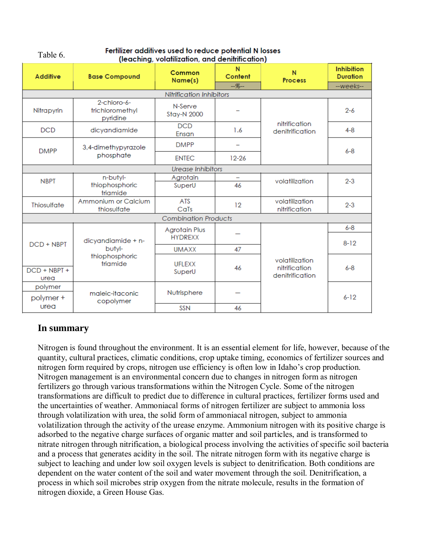| <b>Additive</b>          | <b>Base Compound</b>                       | Common<br>Name(s)           | N<br>Content             | N<br><b>Process</b>                                | <b>Inhibition</b><br><b>Duration</b> |  |  |
|--------------------------|--------------------------------------------|-----------------------------|--------------------------|----------------------------------------------------|--------------------------------------|--|--|
|                          |                                            |                             | $-$ %--                  |                                                    | --weeks--                            |  |  |
| Nitrification Inhibitors |                                            |                             |                          |                                                    |                                      |  |  |
| Nitrapyrin               | 2-chloro-6-<br>trichloromethyl<br>pyridine | N-Serve<br>Stay-N 2000      |                          | nitrification<br>denitrification                   | $2 - 6$                              |  |  |
| <b>DCD</b>               | dicyandiamide                              | <b>DCD</b><br>Ensan         | 1.6                      |                                                    | $4 - 8$                              |  |  |
| <b>DMPP</b>              | 3,4-dimethypyrazole                        | <b>DMPP</b>                 |                          |                                                    | $6 - 8$                              |  |  |
|                          | phosphate                                  | <b>ENTEC</b>                | $12 - 26$                |                                                    |                                      |  |  |
|                          |                                            | <b>Urease Inhibitors</b>    |                          |                                                    |                                      |  |  |
| <b>NBPT</b>              | n-butyl-                                   | Agrotain                    | $\overline{\phantom{a}}$ | volatilization                                     | $2 - 3$                              |  |  |
|                          | thiophosphoric<br>triamide                 | SuperU                      | 46                       |                                                    |                                      |  |  |
| Thiosulfate              | Ammonium or Calcium<br>thiosulfate         | <b>ATS</b><br>CaTs          | 12                       | volatilization<br>nitrification                    | $2 - 3$                              |  |  |
|                          |                                            | <b>Combination Products</b> |                          |                                                    |                                      |  |  |
|                          |                                            | <b>Agrotain Plus</b>        |                          |                                                    | $6 - 8$                              |  |  |
| DCD + NBPT               | dicyandiamide + n-                         | <b>HYDREXX</b>              |                          |                                                    | $8 - 12$                             |  |  |
|                          | butyl-                                     | <b>UMAXX</b>                | 47                       |                                                    |                                      |  |  |
| DCD + NBPT +<br>urea     | thiophosphoric<br>triamide                 | <b>UFLEXX</b><br>SuperU     | 46                       | volatilization<br>nitrification<br>denitrification | $6 - 8$                              |  |  |
|                          |                                            |                             |                          |                                                    |                                      |  |  |
| polymer<br>polymer +     | maleic-itaconic<br>copolymer               | Nutrisphere                 |                          |                                                    | $6 - 12$                             |  |  |
| urea                     |                                            | SSN                         | 46                       |                                                    |                                      |  |  |

#### Fertilizer additives used to reduce potential N losses Table 6. (leaching, volatilization, and denitrification)

#### **In summary**

Nitrogen is found throughout the environment. It is an essential element for life, however, because of the quantity, cultural practices, climatic conditions, crop uptake timing, economics of fertilizer sources and nitrogen form required by crops, nitrogen use efficiency is often low in Idaho's crop production. Nitrogen management is an environmental concern due to changes in nitrogen form as nitrogen fertilizers go through various transformations within the Nitrogen Cycle. Some of the nitrogen transformations are difficult to predict due to difference in cultural practices, fertilizer forms used and the uncertainties of weather. Ammoniacal forms of nitrogen fertilizer are subject to ammonia loss through volatilization with urea, the solid form of ammoniacal nitrogen, subject to ammonia volatilization through the activity of the urease enzyme. Ammonium nitrogen with its positive charge is adsorbed to the negative charge surfaces of organic matter and soil particles, and is transformed to nitrate nitrogen through nitrification, a biological process involving the activities of specific soil bacteria and a process that generates acidity in the soil. The nitrate nitrogen form with its negative charge is subject to leaching and under low soil oxygen levels is subject to denitrification. Both conditions are dependent on the water content of the soil and water movement through the soil. Denitrification, a process in which soil microbes strip oxygen from the nitrate molecule, results in the formation of nitrogen dioxide, a Green House Gas.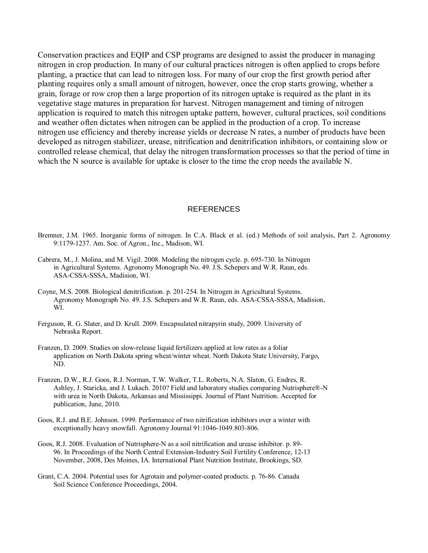Conservation practices and EQIP and CSP programs are designed to assist the producer in managing nitrogen in crop production. In many of our cultural practices nitrogen is often applied to crops before planting, a practice that can lead to nitrogen loss. For many of our crop the first growth period after planting requires only a small amount of nitrogen, however, once the crop starts growing, whether a grain, forage or row crop then a large proportion of its nitrogen uptake is required as the plant in its vegetative stage matures in preparation for harvest. Nitrogen management and timing of nitrogen application is required to match this nitrogen uptake pattern, however, cultural practices, soil conditions and weather often dictates when nitrogen can be applied in the production of a crop. To increase nitrogen use efficiency and thereby increase yields or decrease N rates, a number of products have been developed as nitrogen stabilizer, urease, nitrification and denitrification inhibitors, or containing slow or controlled release chemical, that delay the nitrogen transformation processes so that the period of time in which the N source is available for uptake is closer to the time the crop needs the available N.

#### REFERENCES

- Bremner, J.M. 1965. Inorganic forms of nitrogen. In C.A. Black et al. (ed.) Methods of soil analysis, Part 2. Agronomy 9:1179-1237. Am. Soc. of Agron., Inc., Madison, WI.
- Cabrera, M., J. Molina, and M. Vigil. 2008. Modeling the nitrogen cycle. p. 695-730. In Nitrogen in Agricultural Systems. Agronomy Monograph No. 49. J.S. Schepers and W.R. Raun, eds. ASA-CSSA-SSSA, Madision, WI.
- Coyne, M.S. 2008. Biological denitrification. p. 201-254. In Nitrogen in Agricultural Systems. Agronomy Monograph No. 49. J.S. Schepers and W.R. Raun, eds. ASA-CSSA-SSSA, Madision, WI.
- Ferguson, R. G. Slater, and D. Krull. 2009. Encapsulated nitrapyrin study, 2009. University of Nebraska Report.
- Franzen, D. 2009. Studies on slow-release liquid fertilizers applied at low rates as a foliar application on North Dakota spring wheat/winter wheat. North Dakota State University, Fargo, ND.
- Franzen, D.W., R.J. Goos, R.J. Norman, T.W. Walker, T.L. Roberts, N.A. Slaton, G. Endres, R. Ashley, J. Staricka, and J. Lukach. 2010? Field and laboratory studies comparing Nutrisphere®-N with urea in North Dakota, Arkansas and Mississippi. Journal of Plant Nutrition. Accepted for publication, June, 2010.
- Goos, R.J. and B.E. Johnson. 1999. Performance of two nitrification inhibitors over a winter with exceptionally heavy snowfall. Agronomy Journal 91:1046-1049.803-806.
- Goos, R.J. 2008. Evaluation of Nutrisphere-N as a soil nitrification and urease inhibitor. p. 89- 96. In Proceedings of the North Central Extension-Industry Soil Fertility Conference, 12-13 November, 2008, Des Moines, IA. International Plant Nutrition Institute, Brookings, SD.
- Grant, C.A. 2004. Potential uses for Agrotain and polymer-coated products. p. 76-86. Canada Soil Science Conference Proceedings, 2004.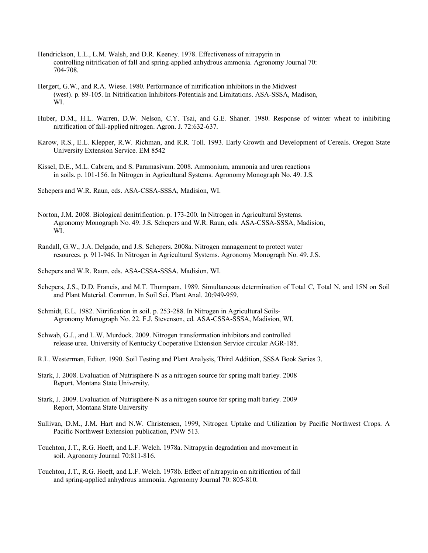- Hendrickson, L.L., L.M. Walsh, and D.R. Keeney. 1978. Effectiveness of nitrapyrin in controlling nitrification of fall and spring-applied anhydrous ammonia. Agronomy Journal 70: 704-708.
- Hergert, G.W., and R.A. Wiese. 1980. Performance of nitrification inhibitors in the Midwest (west). p. 89-105. In Nitrification Inhibitors-Potentials and Limitations. ASA-SSSA, Madison, WI.
- Huber, D.M., H.L. Warren, D.W. Nelson, C.Y. Tsai, and G.E. Shaner. 1980. Response of winter wheat to inhibiting nitrification of fall-applied nitrogen. Agron. J. 72:632-637.
- Karow, R.S., E.L. Klepper, R.W. Richman, and R.R. Toll. 1993. Early Growth and Development of Cereals. Oregon State University Extension Service. EM 8542
- Kissel, D.E., M.L. Cabrera, and S. Paramasivam. 2008. Ammonium, ammonia and urea reactions in soils. p. 101-156. In Nitrogen in Agricultural Systems. Agronomy Monograph No. 49. J.S.

Schepers and W.R. Raun, eds. ASA-CSSA-SSSA, Madision, WI.

- Norton, J.M. 2008. Biological denitrification. p. 173-200. In Nitrogen in Agricultural Systems. Agronomy Monograph No. 49. J.S. Schepers and W.R. Raun, eds. ASA-CSSA-SSSA, Madision, WI.
- Randall, G.W., J.A. Delgado, and J.S. Schepers. 2008a. Nitrogen management to protect water resources. p. 911-946. In Nitrogen in Agricultural Systems. Agronomy Monograph No. 49. J.S.

Schepers and W.R. Raun, eds. ASA-CSSA-SSSA, Madision, WI.

- Schepers, J.S., D.D. Francis, and M.T. Thompson, 1989. Simultaneous determination of Total C, Total N, and 15N on Soil and Plant Material. Commun. In Soil Sci. Plant Anal. 20:949-959.
- Schmidt, E.L. 1982. Nitrification in soil. p. 253-288. In Nitrogen in Agricultural Soils-Agronomy Monograph No. 22. F.J. Stevenson, ed. ASA-CSSA-SSSA, Madision, WI.
- Schwab, G.J., and L.W. Murdock. 2009. Nitrogen transformation inhibitors and controlled release urea. University of Kentucky Cooperative Extension Service circular AGR-185.
- R.L. Westerman, Editor. 1990. Soil Testing and Plant Analysis, Third Addition, SSSA Book Series 3.
- Stark, J. 2008. Evaluation of Nutrisphere-N as a nitrogen source for spring malt barley. 2008 Report. Montana State University.
- Stark, J. 2009. Evaluation of Nutrisphere-N as a nitrogen source for spring malt barley. 2009 Report, Montana State University
- Sullivan, D.M., J.M. Hart and N.W. Christensen, 1999, Nitrogen Uptake and Utilization by Pacific Northwest Crops. A Pacific Northwest Extension publication, PNW 513.
- Touchton, J.T., R.G. Hoeft, and L.F. Welch. 1978a. Nitrapyrin degradation and movement in soil. Agronomy Journal 70:811-816.
- Touchton, J.T., R.G. Hoeft, and L.F. Welch. 1978b. Effect of nitrapyrin on nitrification of fall and spring-applied anhydrous ammonia. Agronomy Journal 70: 805-810.